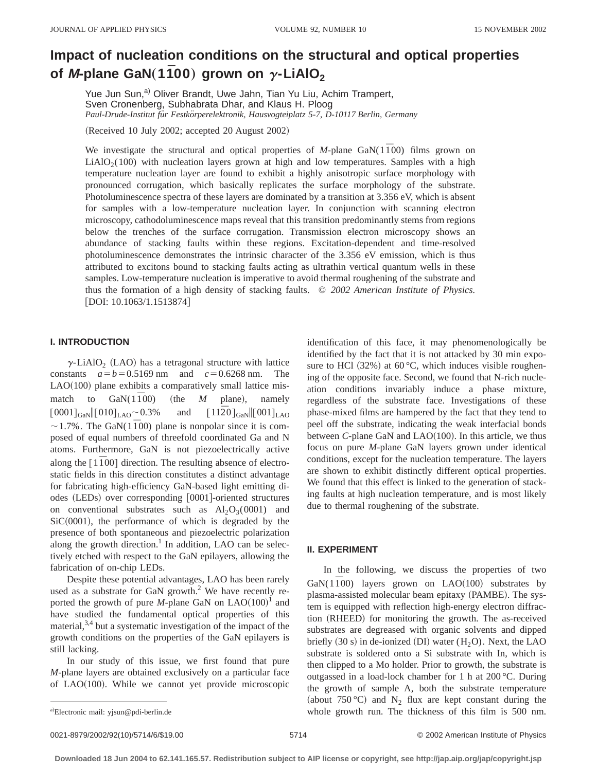# **Impact of nucleation conditions on the structural and optical properties** of *M*-plane GaN $(1\bar{1}00)$  grown on  $\gamma$ -LiAlO<sub>2</sub>

Yue Jun Sun,<sup>a)</sup> Oliver Brandt, Uwe Jahn, Tian Yu Liu, Achim Trampert, Sven Cronenberg, Subhabrata Dhar, and Klaus H. Ploog *Paul-Drude-Institut fu¨r Festko¨rperelektronik, Hausvogteiplatz 5-7, D-10117 Berlin, Germany*

 $(Received 10 July 2002; accepted 20 August 2002)$ 

We investigate the structural and optical properties of *M*-plane GaN( $1\overline{1}00$ ) films grown on  $LiAlO<sub>2</sub>(100)$  with nucleation layers grown at high and low temperatures. Samples with a high temperature nucleation layer are found to exhibit a highly anisotropic surface morphology with pronounced corrugation, which basically replicates the surface morphology of the substrate. Photoluminescence spectra of these layers are dominated by a transition at 3.356 eV, which is absent for samples with a low-temperature nucleation layer. In conjunction with scanning electron microscopy, cathodoluminescence maps reveal that this transition predominantly stems from regions below the trenches of the surface corrugation. Transmission electron microscopy shows an abundance of stacking faults within these regions. Excitation-dependent and time-resolved photoluminescence demonstrates the intrinsic character of the 3.356 eV emission, which is thus attributed to excitons bound to stacking faults acting as ultrathin vertical quantum wells in these samples. Low-temperature nucleation is imperative to avoid thermal roughening of the substrate and thus the formation of a high density of stacking faults. © *2002 American Institute of Physics.*  $[$ DOI: 10.1063/1.1513874 $]$ 

# **I. INTRODUCTION**

 $\gamma$ -LiAlO<sub>2</sub> (LAO) has a tetragonal structure with lattice constants  $a=b=0.5169$  nm and  $c=0.6268$  nm. The  $LAO(100)$  plane exhibits a comparatively small lattice mismatch to  $\text{GaN}(1\bar{1}00)$  (the *M* plane), namely  $[0001]_{\text{GaN}}$   $[010]_{\text{LAO}}$  ~ 0.3% and  $[11\bar{2}0]_{\text{GaN}}$   $[001]_{\text{LAO}}$  $\sim$  1.7%. The GaN(1<sup> $\overline{1}$ 00) plane is nonpolar since it is com-</sup> posed of equal numbers of threefold coordinated Ga and N atoms. Furthermore, GaN is not piezoelectrically active along the  $\lceil 1\overline{1}00 \rceil$  direction. The resulting absence of electrostatic fields in this direction constitutes a distinct advantage for fabricating high-efficiency GaN-based light emitting diodes (LEDs) over corresponding [0001]-oriented structures on conventional substrates such as  $Al_2O_3(0001)$  and  $SiC(0001)$ , the performance of which is degraded by the presence of both spontaneous and piezoelectric polarization along the growth direction.<sup>1</sup> In addition, LAO can be selectively etched with respect to the GaN epilayers, allowing the fabrication of on-chip LEDs.

Despite these potential advantages, LAO has been rarely used as a substrate for GaN growth. $2$  We have recently reported the growth of pure *M*-plane GaN on  $\text{LAO}(100)^1$  and have studied the fundamental optical properties of this material, $3,4$  but a systematic investigation of the impact of the growth conditions on the properties of the GaN epilayers is still lacking.

In our study of this issue, we first found that pure *M*-plane layers are obtained exclusively on a particular face of LAO $(100)$ . While we cannot yet provide microscopic identification of this face, it may phenomenologically be identified by the fact that it is not attacked by 30 min exposure to HCl  $(32%)$  at 60 °C, which induces visible roughening of the opposite face. Second, we found that N-rich nucleation conditions invariably induce a phase mixture, regardless of the substrate face. Investigations of these phase-mixed films are hampered by the fact that they tend to peel off the substrate, indicating the weak interfacial bonds between *C*-plane GaN and LAO(100). In this article, we thus focus on pure *M*-plane GaN layers grown under identical conditions, except for the nucleation temperature. The layers are shown to exhibit distinctly different optical properties. We found that this effect is linked to the generation of stacking faults at high nucleation temperature, and is most likely due to thermal roughening of the substrate.

#### **II. EXPERIMENT**

In the following, we discuss the properties of two GaN( $1\bar{1}00$ ) layers grown on LAO( $100$ ) substrates by plasma-assisted molecular beam epitaxy (PAMBE). The system is equipped with reflection high-energy electron diffraction (RHEED) for monitoring the growth. The as-received substrates are degreased with organic solvents and dipped briefly  $(30 s)$  in de-ionized  $(DI)$  water  $(H<sub>2</sub>O)$ . Next, the LAO substrate is soldered onto a Si substrate with In, which is then clipped to a Mo holder. Prior to growth, the substrate is outgassed in a load-lock chamber for 1 h at 200 °C. During the growth of sample A, both the substrate temperature (about 750 °C) and N<sub>2</sub> flux are kept constant during the whole growth run. The thickness of this film is  $500$  nm.

0021-8979/2002/92(10)/5714/6/\$19.00 © 2002 American Institute of Physics 5714

a)Electronic mail: yjsun@pdi-berlin.de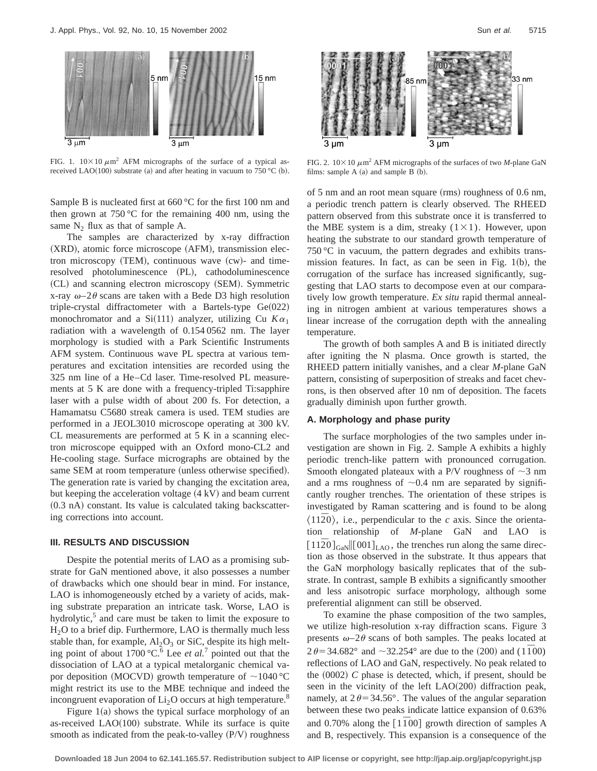

FIG. 1.  $10\times10 \mu \text{m}^2$  AFM micrographs of the surface of a typical asreceived LAO(100) substrate (a) and after heating in vacuum to 750 °C (b).

Sample B is nucleated first at 660 °C for the first 100 nm and then grown at  $750\,^{\circ}\text{C}$  for the remaining 400 nm, using the same  $N_2$  flux as that of sample A.

The samples are characterized by x-ray diffraction  $(XRD)$ , atomic force microscope  $(AFM)$ , transmission electron microscopy  $(TEM)$ , continuous wave  $(cw)$ - and timeresolved photoluminescence (PL), cathodoluminescence (CL) and scanning electron microscopy (SEM). Symmetric x-ray  $\omega$ –2 $\theta$  scans are taken with a Bede D3 high resolution triple-crystal diffractometer with a Bartels-type  $Ge(022)$ monochromator and a Si(111) analyzer, utilizing Cu  $K\alpha_1$ radiation with a wavelength of 0.154 0562 nm. The layer morphology is studied with a Park Scientific Instruments AFM system. Continuous wave PL spectra at various temperatures and excitation intensities are recorded using the 325 nm line of a He–Cd laser. Time-resolved PL measurements at 5 K are done with a frequency-tripled Ti:sapphire laser with a pulse width of about 200 fs. For detection, a Hamamatsu C5680 streak camera is used. TEM studies are performed in a JEOL3010 microscope operating at 300 kV. CL measurements are performed at 5 K in a scanning electron microscope equipped with an Oxford mono-CL2 and He-cooling stage. Surface micrographs are obtained by the same SEM at room temperature (unless otherwise specified). The generation rate is varied by changing the excitation area, but keeping the acceleration voltage  $(4 \text{ kV})$  and beam current  $(0.3 \text{ nA})$  constant. Its value is calculated taking backscattering corrections into account.

#### **III. RESULTS AND DISCUSSION**

Despite the potential merits of LAO as a promising substrate for GaN mentioned above, it also possesses a number of drawbacks which one should bear in mind. For instance, LAO is inhomogeneously etched by a variety of acids, making substrate preparation an intricate task. Worse, LAO is hydrolytic, $5$  and care must be taken to limit the exposure to  $H<sub>2</sub>O$  to a brief dip. Furthermore, LAO is thermally much less stable than, for example,  $Al_2O_3$  or SiC, despite its high melting point of about  $1700 \, \degree \text{C}$ .<sup>6</sup> Lee *et al.*<sup>7</sup> pointed out that the dissociation of LAO at a typical metalorganic chemical vapor deposition (MOCVD) growth temperature of  $\sim$ 1040 °C might restrict its use to the MBE technique and indeed the incongruent evaporation of  $Li<sub>2</sub>O$  occurs at high temperature.<sup>8</sup>

Figure  $1(a)$  shows the typical surface morphology of an as-received  $LAO(100)$  substrate. While its surface is quite smooth as indicated from the peak-to-valley  $(P/V)$  roughness



FIG. 2.  $10\times10 \mu m^2$  AFM micrographs of the surfaces of two *M*-plane GaN films: sample  $A$  (a) and sample  $B$  (b).

of 5 nm and an root mean square  $(rms)$  roughness of 0.6 nm, a periodic trench pattern is clearly observed. The RHEED pattern observed from this substrate once it is transferred to the MBE system is a dim, streaky  $(1 \times 1)$ . However, upon heating the substrate to our standard growth temperature of 750 °C in vacuum, the pattern degrades and exhibits transmission features. In fact, as can be seen in Fig.  $1(b)$ , the corrugation of the surface has increased significantly, suggesting that LAO starts to decompose even at our comparatively low growth temperature. *Ex situ* rapid thermal annealing in nitrogen ambient at various temperatures shows a linear increase of the corrugation depth with the annealing temperature.

The growth of both samples A and B is initiated directly after igniting the N plasma. Once growth is started, the RHEED pattern initially vanishes, and a clear *M*-plane GaN pattern, consisting of superposition of streaks and facet chevrons, is then observed after 10 nm of deposition. The facets gradually diminish upon further growth.

# **A. Morphology and phase purity**

The surface morphologies of the two samples under investigation are shown in Fig. 2. Sample A exhibits a highly periodic trench-like pattern with pronounced corrugation. Smooth elongated plateaux with a P/V roughness of  $\sim$ 3 nm and a rms roughness of  $\sim 0.4$  nm are separated by significantly rougher trenches. The orientation of these stripes is investigated by Raman scattering and is found to be along  $\langle 11\overline{2}0\rangle$ , i.e., perpendicular to the *c* axis. Since the orientation relationship of *M*-plane GaN and LAO is  $[11\overline{2}0]_{\text{GaN}}$  [001]<sub>LAO</sub>, the trenches run along the same direction as those observed in the substrate. It thus appears that the GaN morphology basically replicates that of the substrate. In contrast, sample B exhibits a significantly smoother and less anisotropic surface morphology, although some preferential alignment can still be observed.

To examine the phase composition of the two samples, we utilize high-resolution x-ray diffraction scans. Figure 3 presents  $\omega$ –2 $\theta$  scans of both samples. The peaks located at  $2 \theta = 34.682^{\circ}$  and  $\sim 32.254^{\circ}$  are due to the (200) and (11<sup>7</sup>00) reflections of LAO and GaN, respectively. No peak related to the  $(0002)$  *C* phase is detected, which, if present, should be seen in the vicinity of the left  $LAO(200)$  diffraction peak, namely, at  $2\theta = 34.56^{\circ}$ . The values of the angular separation between these two peaks indicate lattice expansion of 0.63% and 0.70% along the  $\lceil 1\overline{1}00 \rceil$  growth direction of samples A and B, respectively. This expansion is a consequence of the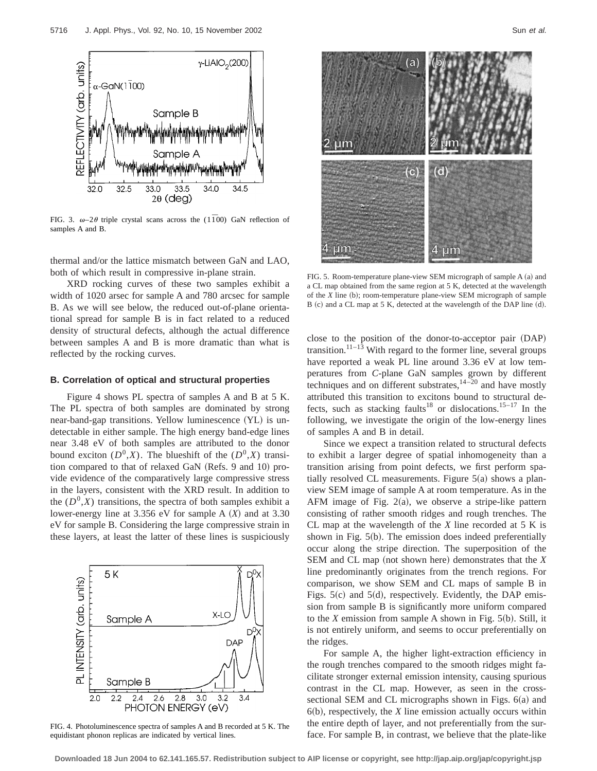

FIG. 3.  $\omega-2\theta$  triple crystal scans across the (1<sup> $\overline{1}$ 00) GaN reflection of</sup> samples A and B.

thermal and/or the lattice mismatch between GaN and LAO, both of which result in compressive in-plane strain.

XRD rocking curves of these two samples exhibit a width of 1020 arsec for sample A and 780 arcsec for sample B. As we will see below, the reduced out-of-plane orientational spread for sample B is in fact related to a reduced density of structural defects, although the actual difference between samples A and B is more dramatic than what is reflected by the rocking curves.

# **B. Correlation of optical and structural properties**

Figure 4 shows PL spectra of samples A and B at 5 K. The PL spectra of both samples are dominated by strong near-band-gap transitions. Yellow luminescence (YL) is undetectable in either sample. The high energy band-edge lines near 3.48 eV of both samples are attributed to the donor bound exciton  $(D^0, X)$ . The blueshift of the  $(D^0, X)$  transition compared to that of relaxed GaN (Refs. 9 and 10) provide evidence of the comparatively large compressive stress in the layers, consistent with the XRD result. In addition to the  $(D^0, X)$  transitions, the spectra of both samples exhibit a lower-energy line at  $3.356$  eV for sample A  $(X)$  and at  $3.30$ eV for sample B. Considering the large compressive strain in these layers, at least the latter of these lines is suspiciously



FIG. 4. Photoluminescence spectra of samples A and B recorded at 5 K. The equidistant phonon replicas are indicated by vertical lines.



FIG. 5. Room-temperature plane-view SEM micrograph of sample A (a) and a CL map obtained from the same region at 5 K, detected at the wavelength of the *X* line (b); room-temperature plane-view SEM micrograph of sample B (c) and a CL map at 5 K, detected at the wavelength of the DAP line (d).

close to the position of the donor-to-acceptor pair (DAP) transition.<sup>11–13</sup> With regard to the former line, several groups have reported a weak PL line around 3.36 eV at low temperatures from *C*-plane GaN samples grown by different techniques and on different substrates, $14-20$  and have mostly attributed this transition to excitons bound to structural defects, such as stacking faults<sup>18</sup> or dislocations.<sup>15-17</sup> In the following, we investigate the origin of the low-energy lines of samples A and B in detail.

Since we expect a transition related to structural defects to exhibit a larger degree of spatial inhomogeneity than a transition arising from point defects, we first perform spatially resolved CL measurements. Figure  $5(a)$  shows a planview SEM image of sample A at room temperature. As in the AFM image of Fig.  $2(a)$ , we observe a stripe-like pattern consisting of rather smooth ridges and rough trenches. The CL map at the wavelength of the *X* line recorded at 5 K is shown in Fig.  $5(b)$ . The emission does indeed preferentially occur along the stripe direction. The superposition of the SEM and CL map (not shown here) demonstrates that the *X* line predominantly originates from the trench regions. For comparison, we show SEM and CL maps of sample B in Figs.  $5(c)$  and  $5(d)$ , respectively. Evidently, the DAP emission from sample B is significantly more uniform compared to the *X* emission from sample A shown in Fig.  $5(b)$ . Still, it is not entirely uniform, and seems to occur preferentially on the ridges.

For sample A, the higher light-extraction efficiency in the rough trenches compared to the smooth ridges might facilitate stronger external emission intensity, causing spurious contrast in the CL map. However, as seen in the crosssectional SEM and CL micrographs shown in Figs.  $6(a)$  and  $6(b)$ , respectively, the *X* line emission actually occurs within the entire depth of layer, and not preferentially from the surface. For sample B, in contrast, we believe that the plate-like

**Downloaded 18 Jun 2004 to 62.141.165.57. Redistribution subject to AIP license or copyright, see http://jap.aip.org/jap/copyright.jsp**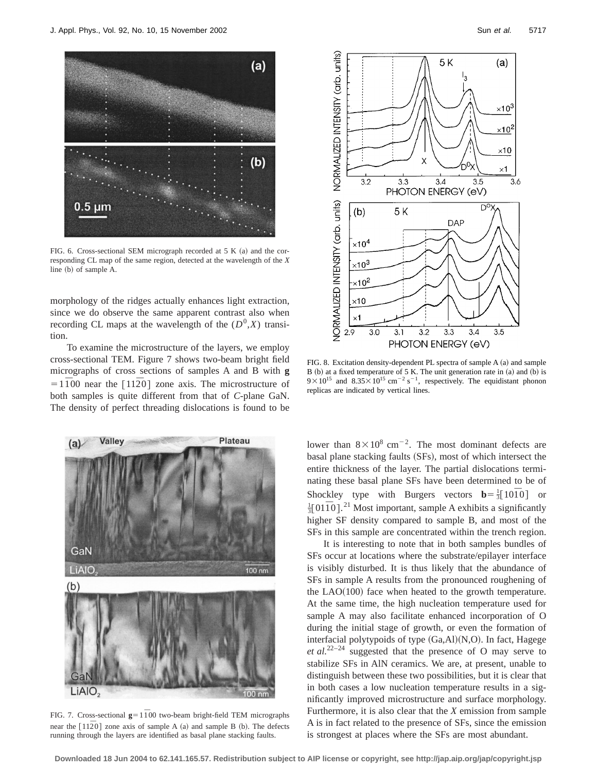

FIG. 6. Cross-sectional SEM micrograph recorded at 5 K  $(a)$  and the corresponding CL map of the same region, detected at the wavelength of the *X* line  $(b)$  of sample A.

morphology of the ridges actually enhances light extraction, since we do observe the same apparent contrast also when recording CL maps at the wavelength of the  $(D^0, X)$  transition.

To examine the microstructure of the layers, we employ cross-sectional TEM. Figure 7 shows two-beam bright field micrographs of cross sections of samples A and B with **g**  $=1\overline{1}00$  near the  $\overline{1}12\overline{2}0$  zone axis. The microstructure of both samples is quite different from that of *C*-plane GaN. The density of perfect threading dislocations is found to be



FIG. 7. Cross-sectional  $g=1\bar{1}00$  two-beam bright-field TEM micrographs near the  $\lceil 11\overline{2}0 \rceil$  zone axis of sample A  $(a)$  and sample B  $(b)$ . The defects running through the layers are identified as basal plane stacking faults.



FIG. 8. Excitation density-dependent PL spectra of sample  $A$  (a) and sample  $B$  (b) at a fixed temperature of 5 K. The unit generation rate in (a) and (b) is  $9 \times 10^{15}$  and  $8.35 \times 10^{15}$  cm<sup>-2</sup> s<sup>-1</sup>, respectively. The equidistant phonon replicas are indicated by vertical lines.

lower than  $8 \times 10^8$  cm<sup>-2</sup>. The most dominant defects are basal plane stacking faults (SFs), most of which intersect the entire thickness of the layer. The partial dislocations terminating these basal plane SFs have been determined to be of Shockley type with Burgers vectors  $\mathbf{b} = \frac{1}{3} [10\overline{1}0]$  or <sup>1</sup>/<sub>3</sub>[0110].<sup>21</sup> Most important, sample A exhibits a significantly higher SF density compared to sample B, and most of the SFs in this sample are concentrated within the trench region.

It is interesting to note that in both samples bundles of SFs occur at locations where the substrate/epilayer interface is visibly disturbed. It is thus likely that the abundance of SFs in sample A results from the pronounced roughening of the  $LAO(100)$  face when heated to the growth temperature. At the same time, the high nucleation temperature used for sample A may also facilitate enhanced incorporation of O during the initial stage of growth, or even the formation of interfacial polytypoids of type  $(Ga, A1)(N, O)$ . In fact, Hagege *et al.*<sup>22–24</sup> suggested that the presence of O may serve to stabilize SFs in AlN ceramics. We are, at present, unable to distinguish between these two possibilities, but it is clear that in both cases a low nucleation temperature results in a significantly improved microstructure and surface morphology. Furthermore, it is also clear that the *X* emission from sample A is in fact related to the presence of SFs, since the emission is strongest at places where the SFs are most abundant.

**Downloaded 18 Jun 2004 to 62.141.165.57. Redistribution subject to AIP license or copyright, see http://jap.aip.org/jap/copyright.jsp**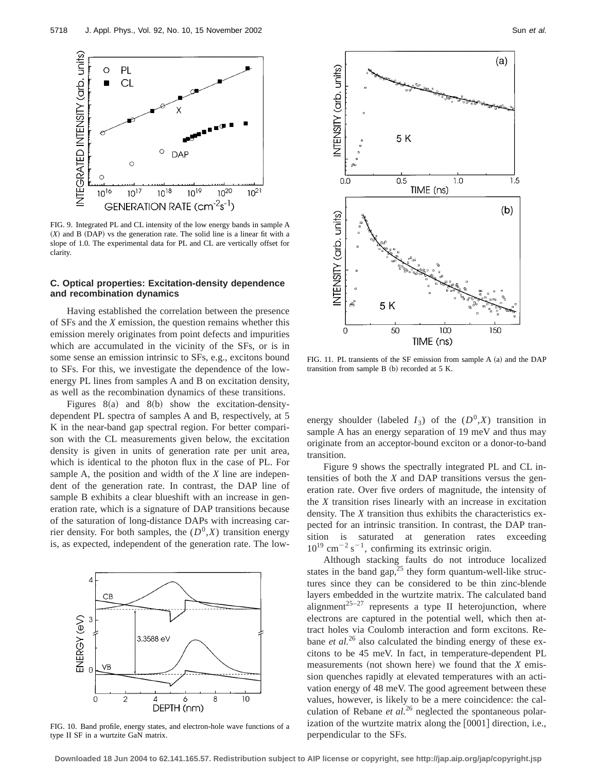

FIG. 9. Integrated PL and CL intensity of the low energy bands in sample A  $(X)$  and B  $(DAP)$  vs the generation rate. The solid line is a linear fit with a slope of 1.0. The experimental data for PL and CL are vertically offset for clarity.

# **C. Optical properties: Excitation-density dependence and recombination dynamics**

Having established the correlation between the presence of SFs and the *X* emission, the question remains whether this emission merely originates from point defects and impurities which are accumulated in the vicinity of the SFs, or is in some sense an emission intrinsic to SFs, e.g., excitons bound to SFs. For this, we investigate the dependence of the lowenergy PL lines from samples A and B on excitation density, as well as the recombination dynamics of these transitions.

Figures  $8(a)$  and  $8(b)$  show the excitation-densitydependent PL spectra of samples A and B, respectively, at 5 K in the near-band gap spectral region. For better comparison with the CL measurements given below, the excitation density is given in units of generation rate per unit area, which is identical to the photon flux in the case of PL. For sample A, the position and width of the *X* line are independent of the generation rate. In contrast, the DAP line of sample B exhibits a clear blueshift with an increase in generation rate, which is a signature of DAP transitions because of the saturation of long-distance DAPs with increasing carrier density. For both samples, the  $(D^0, X)$  transition energy is, as expected, independent of the generation rate. The low-



FIG. 10. Band profile, energy states, and electron-hole wave functions of a type II SF in a wurtzite GaN matrix.



FIG. 11. PL transients of the SF emission from sample A  $(a)$  and the DAP transition from sample  $B$  (b) recorded at 5 K.

energy shoulder (labeled  $I_3$ ) of the  $(D^0, X)$  transition in sample A has an energy separation of 19 meV and thus may originate from an acceptor-bound exciton or a donor-to-band transition.

Figure 9 shows the spectrally integrated PL and CL intensities of both the *X* and DAP transitions versus the generation rate. Over five orders of magnitude, the intensity of the *X* transition rises linearly with an increase in excitation density. The *X* transition thus exhibits the characteristics expected for an intrinsic transition. In contrast, the DAP transition is saturated at generation rates exceeding  $10^{19}$  cm<sup>-2</sup> s<sup>-1</sup>, confirming its extrinsic origin.

Although stacking faults do not introduce localized states in the band gap, $^{25}$  they form quantum-well-like structures since they can be considered to be thin zinc-blende layers embedded in the wurtzite matrix. The calculated band alignment<sup>25–27</sup> represents a type II heterojunction, where electrons are captured in the potential well, which then attract holes via Coulomb interaction and form excitons. Rebane *et al.*<sup>26</sup> also calculated the binding energy of these excitons to be 45 meV. In fact, in temperature-dependent PL measurements (not shown here) we found that the  $X$  emission quenches rapidly at elevated temperatures with an activation energy of 48 meV. The good agreement between these values, however, is likely to be a mere coincidence: the calculation of Rebane *et al.*<sup>26</sup> neglected the spontaneous polarization of the wurtzite matrix along the  $[0001]$  direction, i.e., perpendicular to the SFs.

**Downloaded 18 Jun 2004 to 62.141.165.57. Redistribution subject to AIP license or copyright, see http://jap.aip.org/jap/copyright.jsp**